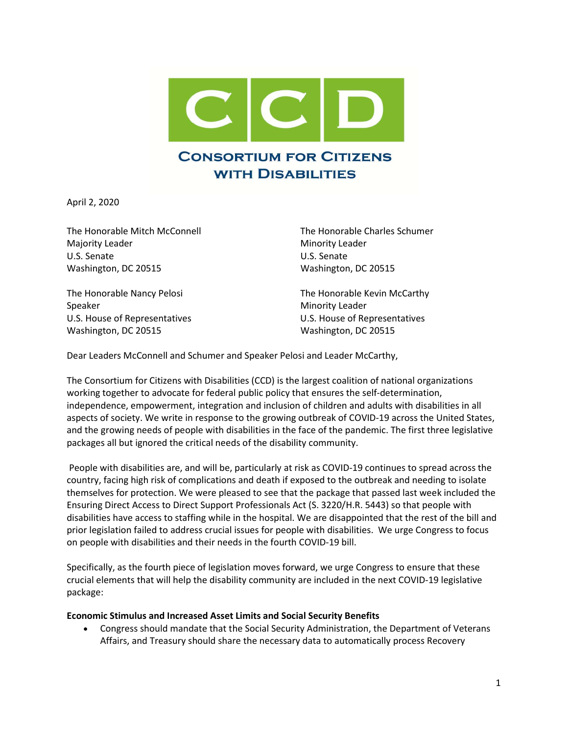

April 2, 2020

The Honorable Mitch McConnell The Honorable Charles Schumer Majority Leader **Minority Leader** Minority Leader U.S. Senate U.S. Senate Washington, DC 20515 Washington, DC 20515

Speaker Minority Leader Washington, DC 20515 Washington, DC 20515

The Honorable Nancy Pelosi The Honorable Kevin McCarthy U.S. House of Representatives U.S. House of Representatives

Dear Leaders McConnell and Schumer and Speaker Pelosi and Leader McCarthy,

The Consortium for Citizens with Disabilities (CCD) is the largest coalition of national organizations working together to advocate for federal public policy that ensures the self-determination, independence, empowerment, integration and inclusion of children and adults with disabilities in all aspects of society. We write in response to the growing outbreak of COVID-19 across the United States, and the growing needs of people with disabilities in the face of the pandemic. The first three legislative packages all but ignored the critical needs of the disability community.

 People with disabilities are, and will be, particularly at risk as COVID-19 continues to spread across the country, facing high risk of complications and death if exposed to the outbreak and needing to isolate themselves for protection. We were pleased to see that the package that passed last week included the Ensuring Direct Access to Direct Support Professionals Act (S. 3220/H.R. 5443) so that people with disabilities have access to staffing while in the hospital. We are disappointed that the rest of the bill and prior legislation failed to address crucial issues for people with disabilities. We urge Congress to focus on people with disabilities and their needs in the fourth COVID-19 bill.

Specifically, as the fourth piece of legislation moves forward, we urge Congress to ensure that these crucial elements that will help the disability community are included in the next COVID-19 legislative package:

#### Economic Stimulus and Increased Asset Limits and Social Security Benefits

 Congress should mandate that the Social Security Administration, the Department of Veterans Affairs, and Treasury should share the necessary data to automatically process Recovery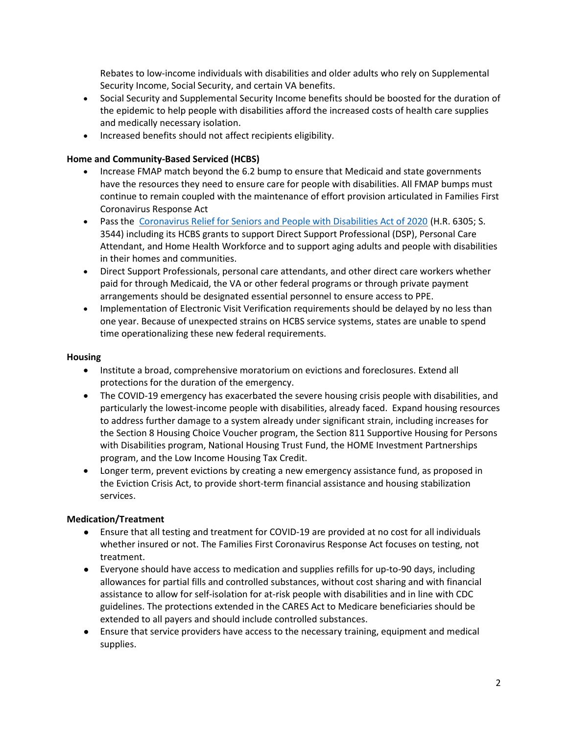Rebates to low-income individuals with disabilities and older adults who rely on Supplemental Security Income, Social Security, and certain VA benefits.

- Social Security and Supplemental Security Income benefits should be boosted for the duration of the epidemic to help people with disabilities afford the increased costs of health care supplies and medically necessary isolation.
- Increased benefits should not affect recipients eligibility.

### Home and Community-Based Serviced (HCBS)

- Increase FMAP match beyond the 6.2 bump to ensure that Medicaid and state governments have the resources they need to ensure care for people with disabilities. All FMAP bumps must continue to remain coupled with the maintenance of effort provision articulated in Families First Coronavirus Response Act
- Pass the Coronavirus Relief for Seniors and People with Disabilities Act of 2020 (H.R. 6305; S. 3544) including its HCBS grants to support Direct Support Professional (DSP), Personal Care Attendant, and Home Health Workforce and to support aging adults and people with disabilities in their homes and communities.
- Direct Support Professionals, personal care attendants, and other direct care workers whether paid for through Medicaid, the VA or other federal programs or through private payment arrangements should be designated essential personnel to ensure access to PPE.
- Implementation of Electronic Visit Verification requirements should be delayed by no less than one year. Because of unexpected strains on HCBS service systems, states are unable to spend time operationalizing these new federal requirements.

### Housing

- Institute a broad, comprehensive moratorium on evictions and foreclosures. Extend all protections for the duration of the emergency.
- The COVID-19 emergency has exacerbated the severe housing crisis people with disabilities, and particularly the lowest-income people with disabilities, already faced. Expand housing resources to address further damage to a system already under significant strain, including increases for the Section 8 Housing Choice Voucher program, the Section 811 Supportive Housing for Persons with Disabilities program, National Housing Trust Fund, the HOME Investment Partnerships program, and the Low Income Housing Tax Credit.
- Longer term, prevent evictions by creating a new emergency assistance fund, as proposed in the Eviction Crisis Act, to provide short-term financial assistance and housing stabilization services.

### Medication/Treatment

- Ensure that all testing and treatment for COVID-19 are provided at no cost for all individuals whether insured or not. The Families First Coronavirus Response Act focuses on testing, not treatment.
- Everyone should have access to medication and supplies refills for up-to-90 days, including allowances for partial fills and controlled substances, without cost sharing and with financial assistance to allow for self-isolation for at-risk people with disabilities and in line with CDC guidelines. The protections extended in the CARES Act to Medicare beneficiaries should be extended to all payers and should include controlled substances.
- Ensure that service providers have access to the necessary training, equipment and medical supplies.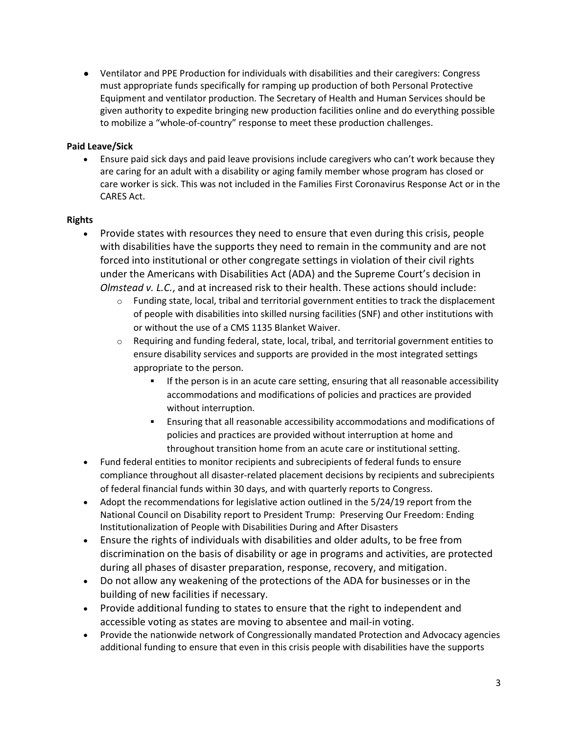● Ventilator and PPE Production for individuals with disabilities and their caregivers: Congress must appropriate funds specifically for ramping up production of both Personal Protective Equipment and ventilator production. The Secretary of Health and Human Services should be given authority to expedite bringing new production facilities online and do everything possible to mobilize a "whole-of-country" response to meet these production challenges.

## Paid Leave/Sick

 Ensure paid sick days and paid leave provisions include caregivers who can't work because they are caring for an adult with a disability or aging family member whose program has closed or care worker is sick. This was not included in the Families First Coronavirus Response Act or in the CARES Act.

## Rights

- Provide states with resources they need to ensure that even during this crisis, people with disabilities have the supports they need to remain in the community and are not forced into institutional or other congregate settings in violation of their civil rights under the Americans with Disabilities Act (ADA) and the Supreme Court's decision in Olmstead v. L.C., and at increased risk to their health. These actions should include:
	- $\circ$  Funding state, local, tribal and territorial government entities to track the displacement of people with disabilities into skilled nursing facilities (SNF) and other institutions with or without the use of a CMS 1135 Blanket Waiver.
	- $\circ$  Requiring and funding federal, state, local, tribal, and territorial government entities to ensure disability services and supports are provided in the most integrated settings appropriate to the person.
		- If the person is in an acute care setting, ensuring that all reasonable accessibility accommodations and modifications of policies and practices are provided without interruption.
		- Ensuring that all reasonable accessibility accommodations and modifications of policies and practices are provided without interruption at home and throughout transition home from an acute care or institutional setting.
- Fund federal entities to monitor recipients and subrecipients of federal funds to ensure compliance throughout all disaster-related placement decisions by recipients and subrecipients of federal financial funds within 30 days, and with quarterly reports to Congress.
- Adopt the recommendations for legislative action outlined in the 5/24/19 report from the National Council on Disability report to President Trump: Preserving Our Freedom: Ending Institutionalization of People with Disabilities During and After Disasters
- Ensure the rights of individuals with disabilities and older adults, to be free from discrimination on the basis of disability or age in programs and activities, are protected during all phases of disaster preparation, response, recovery, and mitigation.
- Do not allow any weakening of the protections of the ADA for businesses or in the building of new facilities if necessary.
- Provide additional funding to states to ensure that the right to independent and accessible voting as states are moving to absentee and mail-in voting.
- Provide the nationwide network of Congressionally mandated Protection and Advocacy agencies additional funding to ensure that even in this crisis people with disabilities have the supports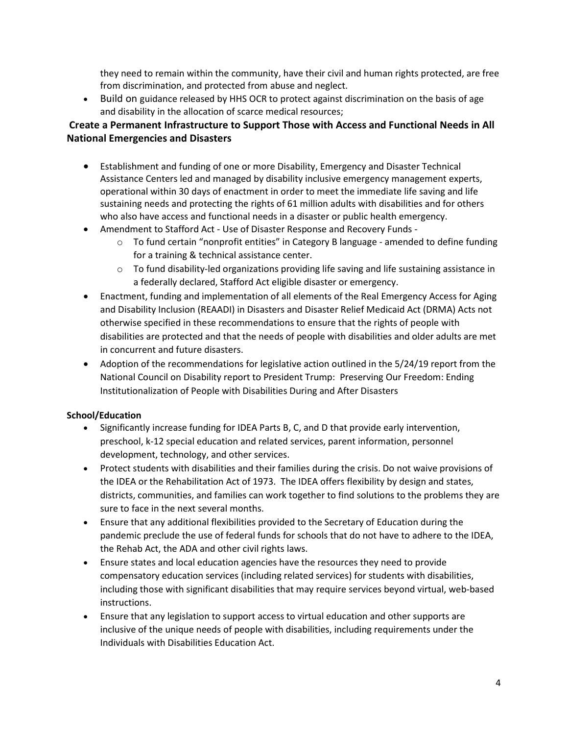they need to remain within the community, have their civil and human rights protected, are free from discrimination, and protected from abuse and neglect.

 Build on guidance released by HHS OCR to protect against discrimination on the basis of age and disability in the allocation of scarce medical resources;

# Create a Permanent Infrastructure to Support Those with Access and Functional Needs in All National Emergencies and Disasters

- Establishment and funding of one or more Disability, Emergency and Disaster Technical Assistance Centers led and managed by disability inclusive emergency management experts, operational within 30 days of enactment in order to meet the immediate life saving and life sustaining needs and protecting the rights of 61 million adults with disabilities and for others who also have access and functional needs in a disaster or public health emergency.
- Amendment to Stafford Act Use of Disaster Response and Recovery Funds
	- o To fund certain "nonprofit entities" in Category B language amended to define funding for a training & technical assistance center.
	- $\circ$  To fund disability-led organizations providing life saving and life sustaining assistance in a federally declared, Stafford Act eligible disaster or emergency.
- Enactment, funding and implementation of all elements of the Real Emergency Access for Aging and Disability Inclusion (REAADI) in Disasters and Disaster Relief Medicaid Act (DRMA) Acts not otherwise specified in these recommendations to ensure that the rights of people with disabilities are protected and that the needs of people with disabilities and older adults are met in concurrent and future disasters.
- Adoption of the recommendations for legislative action outlined in the 5/24/19 report from the National Council on Disability report to President Trump: Preserving Our Freedom: Ending Institutionalization of People with Disabilities During and After Disasters

## School/Education

- Significantly increase funding for IDEA Parts B, C, and D that provide early intervention, preschool, k-12 special education and related services, parent information, personnel development, technology, and other services.
- Protect students with disabilities and their families during the crisis. Do not waive provisions of the IDEA or the Rehabilitation Act of 1973. The IDEA offers flexibility by design and states, districts, communities, and families can work together to find solutions to the problems they are sure to face in the next several months.
- Ensure that any additional flexibilities provided to the Secretary of Education during the pandemic preclude the use of federal funds for schools that do not have to adhere to the IDEA, the Rehab Act, the ADA and other civil rights laws.
- Ensure states and local education agencies have the resources they need to provide compensatory education services (including related services) for students with disabilities, including those with significant disabilities that may require services beyond virtual, web-based instructions.
- Ensure that any legislation to support access to virtual education and other supports are inclusive of the unique needs of people with disabilities, including requirements under the Individuals with Disabilities Education Act.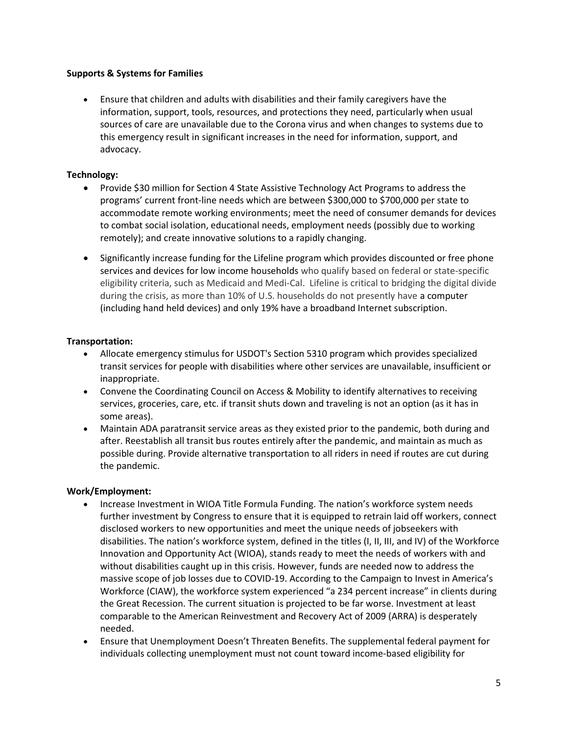### Supports & Systems for Families

 Ensure that children and adults with disabilities and their family caregivers have the information, support, tools, resources, and protections they need, particularly when usual sources of care are unavailable due to the Corona virus and when changes to systems due to this emergency result in significant increases in the need for information, support, and advocacy.

### Technology:

- Provide \$30 million for Section 4 State Assistive Technology Act Programs to address the programs' current front-line needs which are between \$300,000 to \$700,000 per state to accommodate remote working environments; meet the need of consumer demands for devices to combat social isolation, educational needs, employment needs (possibly due to working remotely); and create innovative solutions to a rapidly changing.
- Significantly increase funding for the Lifeline program which provides discounted or free phone services and devices for low income households who qualify based on federal or state-specific eligibility criteria, such as Medicaid and Medi-Cal. Lifeline is critical to bridging the digital divide during the crisis, as more than 10% of U.S. households do not presently have a computer (including hand held devices) and only 19% have a broadband Internet subscription.

### Transportation:

- Allocate emergency stimulus for USDOT's Section 5310 program which provides specialized transit services for people with disabilities where other services are unavailable, insufficient or inappropriate.
- Convene the Coordinating Council on Access & Mobility to identify alternatives to receiving services, groceries, care, etc. if transit shuts down and traveling is not an option (as it has in some areas).
- Maintain ADA paratransit service areas as they existed prior to the pandemic, both during and after. Reestablish all transit bus routes entirely after the pandemic, and maintain as much as possible during. Provide alternative transportation to all riders in need if routes are cut during the pandemic.

### Work/Employment:

- Increase Investment in WIOA Title Formula Funding. The nation's workforce system needs further investment by Congress to ensure that it is equipped to retrain laid off workers, connect disclosed workers to new opportunities and meet the unique needs of jobseekers with disabilities. The nation's workforce system, defined in the titles (I, II, III, and IV) of the Workforce Innovation and Opportunity Act (WIOA), stands ready to meet the needs of workers with and without disabilities caught up in this crisis. However, funds are needed now to address the massive scope of job losses due to COVID-19. According to the Campaign to Invest in America's Workforce (CIAW), the workforce system experienced "a 234 percent increase" in clients during the Great Recession. The current situation is projected to be far worse. Investment at least comparable to the American Reinvestment and Recovery Act of 2009 (ARRA) is desperately needed.
- Ensure that Unemployment Doesn't Threaten Benefits. The supplemental federal payment for individuals collecting unemployment must not count toward income-based eligibility for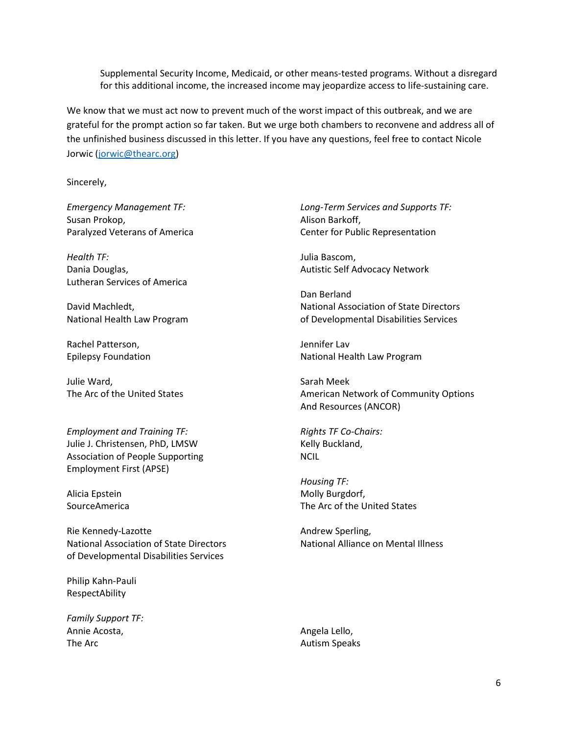Supplemental Security Income, Medicaid, or other means-tested programs. Without a disregard for this additional income, the increased income may jeopardize access to life-sustaining care.

We know that we must act now to prevent much of the worst impact of this outbreak, and we are grateful for the prompt action so far taken. But we urge both chambers to reconvene and address all of the unfinished business discussed in this letter. If you have any questions, feel free to contact Nicole Jorwic (jorwic@thearc.org)

Sincerely,

Susan Prokop, The Contract of the Contract of Alison Barkoff,

Health TF: Samuel Communications and the United States of the United States of the United States of the United States of the United States of the United States of the United States of the United States of the United States Lutheran Services of America

Rachel Patterson, The Contract of the United States of the United States and Jennifer Lav

Julie Ward, New York 1988, Sarah Meek

Employment and Training TF: Rights TF Co-Chairs: Julie J. Christensen, PhD, LMSW Kelly Buckland, Association of People Supporting NCIL Employment First (APSE)

Rie Kennedy-Lazotte Andrew Sperling, National Association of State Directors National Alliance on Mental Illness of Developmental Disabilities Services

Philip Kahn-Pauli RespectAbility

Family Support TF: Annie Acosta, annie Acosta, annie Acosta, annie Acosta, annie annie annie annie annie annie annie annie annie The Arc **Autism Speaks Autism Speaks** 

Emergency Management TF: Long-Term Services and Supports TF: Paralyzed Veterans of America Center for Public Representation

Dania Douglas, **Autistic Self Advocacy Network** 

 Dan Berland David Machledt, National Association of State Directors National Health Law Program of Developmental Disabilities Services

Epilepsy Foundation National Health Law Program

The Arc of the United States American Network of Community Options And Resources (ANCOR)

 Housing TF: Alicia Epstein **Molly Burgdorf**, SourceAmerica The Arc of the United States